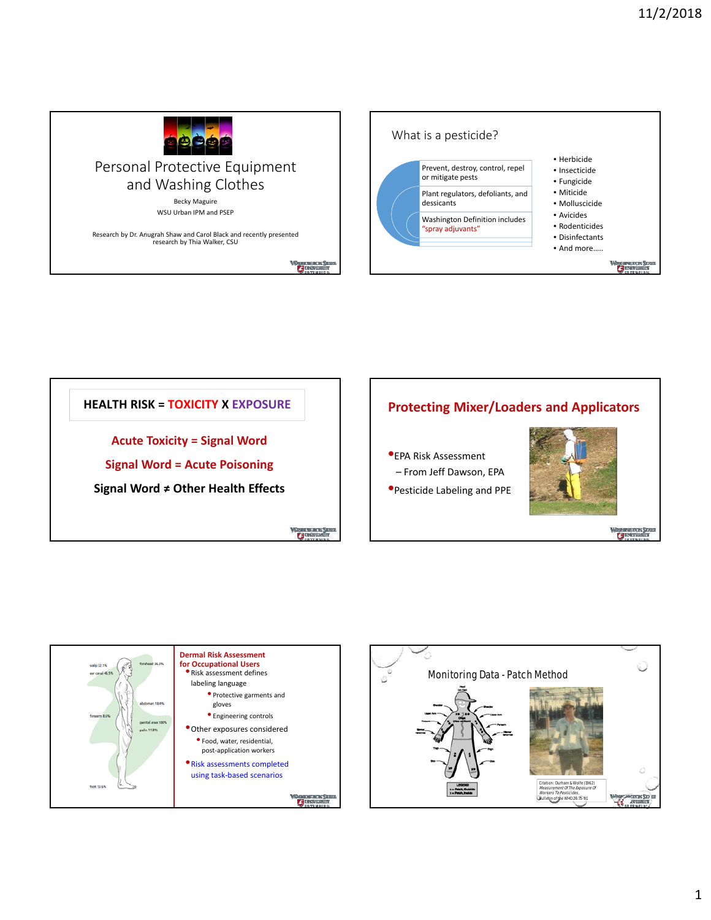







 $G_{++}$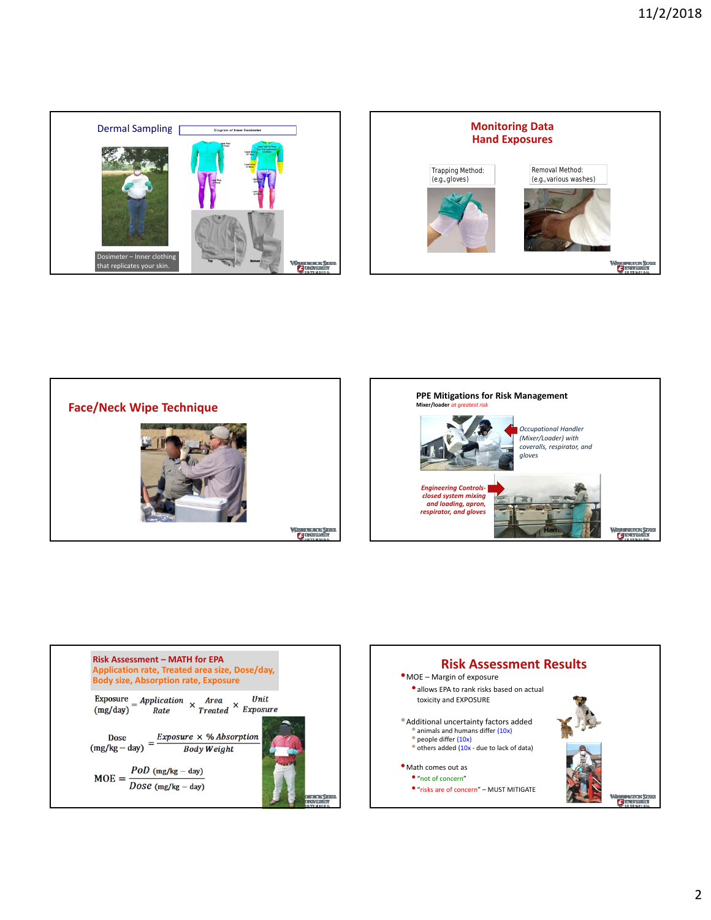









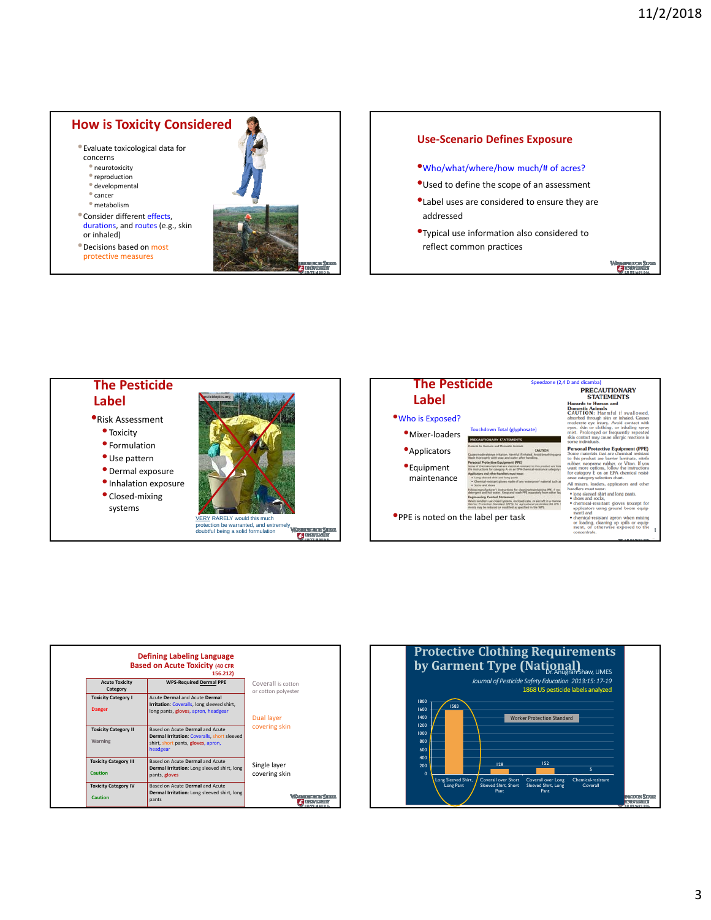## **How is Toxicity Considered**

•Evaluate toxicological data for

- concerns
- neurotoxicity
- $\bullet$  reproduction
- developmental • cancer
- metabolism
- •Consider different effects, durations, and routes (e.g., skin or inhaled)

•Decisions based on most protective measures



## **Use‐Scenario Defines Exposure**

- •Who/what/where/how much/# of acres?
- •Used to define the scope of an assessment
- •Label uses are considered to ensure they are addressed
- •Typical use information also considered to reflect common practices

 $\sigma$ 

## **The Pesticide Label**

- •Risk Assessment
	- Toxicity
	- Formulation
	- Use pattern
	- Dermal exposure
	- •Inhalation exposure
	- Closed‐mixing systems







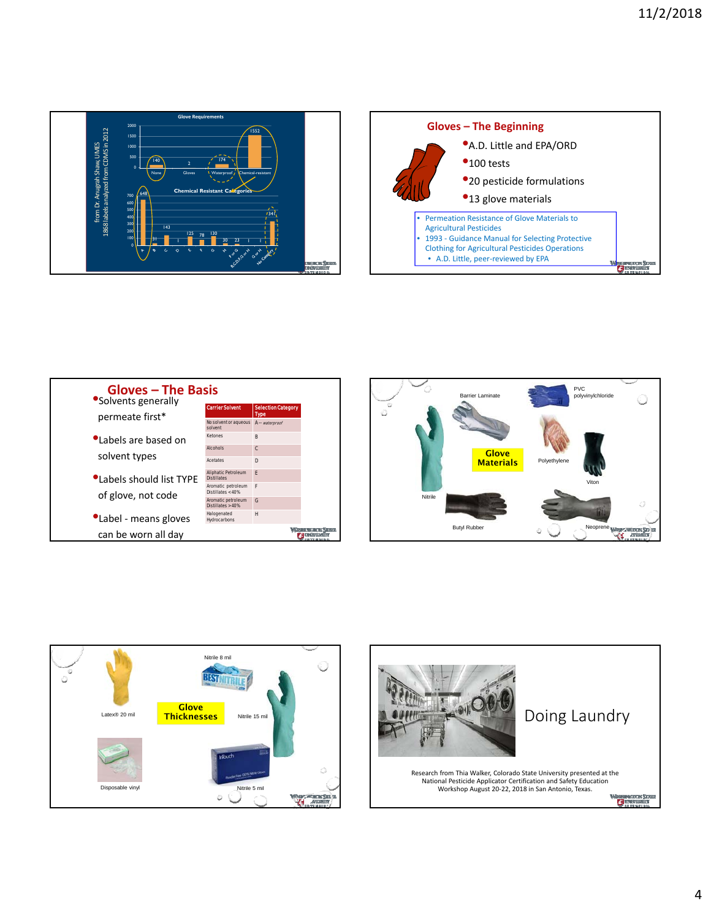